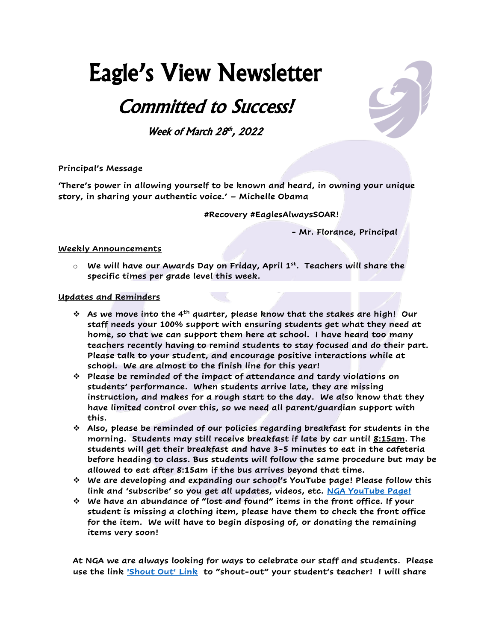# Eagle's View Newsletter

## Committed to Success!

Week of March 28th, 2022

### **Principal's Message**

**'There's power in allowing yourself to be known and heard, in owning your unique story, in sharing your authentic voice.' – Michelle Obama**

**#Recovery #EaglesAlwaysSOAR!**

**- Mr. Florance, Principal**

#### **Weekly Announcements**

o **We will have our Awards Day on Friday, April 1st. Teachers will share the specific times per grade level this week.**

#### **Updates and Reminders**

- ❖ **As we move into the 4th quarter, please know that the stakes are high! Our staff needs your 100% support with ensuring students get what they need at home, so that we can support them here at school. I have heard too many teachers recently having to remind students to stay focused and do their part. Please talk to your student, and encourage positive interactions while at school. We are almost to the finish line for this year!**
- ❖ **Please be reminded of the impact of attendance and tardy violations on students' performance. When students arrive late, they are missing instruction, and makes for a rough start to the day. We also know that they have limited control over this, so we need all parent/guardian support with this.**
- ❖ **Also, please be reminded of our policies regarding breakfast for students in the morning. Students may still receive breakfast if late by car until 8:15am. The students will get their breakfast and have 3-5 minutes to eat in the cafeteria before heading to class. Bus students will follow the same procedure but may be allowed to eat after 8:15am if the bus arrives beyond that time.**
- ❖ **We are developing and expanding our school's YouTube page! Please follow this link and 'subscribe' so you get all updates, videos, etc. [NGA YouTube Page!](https://www.youtube.com/channel/UCSmrD5Gm6YolwrncrO6bIxQ)**
- ❖ **We have an abundance of "lost and found" items in the front office. If your student is missing a clothing item, please have them to check the front office for the item. We will have to begin disposing of, or donating the remaining items very soon!**

**At NGA we are always looking for ways to celebrate our staff and students. Please use the link ['Shout Out' Link](https://forms.gle/KVBU8eZ9eJAmEEPS6) to "shout-out" your student's teacher! I will share**